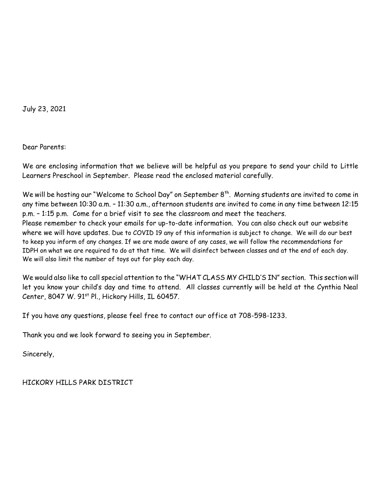July 23, 2021

Dear Parents:

We are enclosing information that we believe will be helpful as you prepare to send your child to Little Learners Preschool in September. Please read the enclosed material carefully.

We will be hosting our "Welcome to School Day" on September 8<sup>th</sup>. Morning students are invited to come in any time between 10:30 a.m. – 11:30 a.m., afternoon students are invited to come in any time between 12:15 p.m. – 1:15 p.m. Come for a brief visit to see the classroom and meet the teachers. Please remember to check your emails for up-to-date information. You can also check out our website where we will have updates. Due to COVID 19 any of this information is subject to change. We will do our best to keep you inform of any changes. If we are made aware of any cases, we will follow the recommendations for IDPH on what we are required to do at that time. We will disinfect between classes and at the end of each day. We will also limit the number of toys out for play each day.

We would also like to call special attention to the "WHAT CLASS MY CHILD'S IN" section. This section will let you know your child's day and time to attend. All classes currently will be held at the Cynthia Neal Center, 8047 W. 91<sup>st</sup> Pl., Hickory Hills, IL 60457.

If you have any questions, please feel free to contact our office at 708-598-1233.

Thank you and we look forward to seeing you in September.

Sincerely,

HICKORY HILLS PARK DISTRICT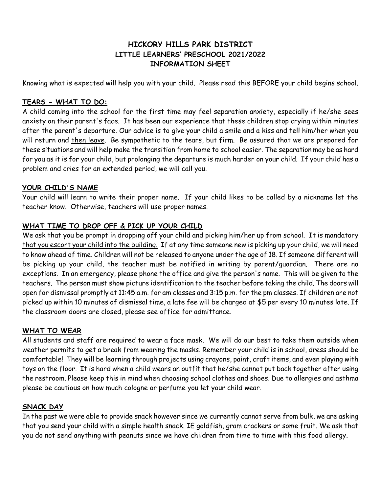# **HICKORY HILLS PARK DISTRICT LITTLE LEARNERS' PRESCHOOL 2021/2022 INFORMATION SHEET**

Knowing what is expected will help you with your child. Please read this BEFORE your child begins school.

### **TEARS - WHAT TO DO:**

A child coming into the school for the first time may feel separation anxiety, especially if he/she sees anxiety on their parent's face. It has been our experience that these children stop crying within minutes after the parent's departure. Our advice is to give your child a smile and a kiss and tell him/her when you will return and then leave. Be sympathetic to the tears, but firm. Be assured that we are prepared for these situations and will help make the transition from home to school easier. The separation may be as hard for you as it is for your child, but prolonging the departure is much harder on your child. If your child has a problem and cries for an extended period, we will call you.

#### **YOUR CHILD'S NAME**

Your child will learn to write their proper name. If your child likes to be called by a nickname let the teacher know. Otherwise, teachers will use proper names.

## **WHAT TIME TO DROP OFF & PICK UP YOUR CHILD**

We ask that you be prompt in dropping off your child and picking him/her up from school. It is mandatory that you escort your child into the building. If at any time someone new is picking up your child, we will need to know ahead of time. Children will not be released to anyone under the age of 18. If someone different will be picking up your child, the teacher must be notified in writing by parent/guardian. There are no exceptions. In an emergency, please phone the office and give the person's name. This will be given to the teachers. The person must show picture identification to the teacher before taking the child. The doors will open for dismissal promptly at 11:45 a.m. for am classes and 3:15 p.m. for the pm classes. If children are not picked up within 10 minutes of dismissal time, a late fee will be charged at \$5 per every 10 minutes late. If the classroom doors are closed, please see office for admittance.

## **WHAT TO WEAR**

All students and staff are required to wear a face mask. We will do our best to take them outside when weather permits to get a break from wearing the masks. Remember your child is in school, dress should be comfortable! They will be learning through projects using crayons, paint, craft items, and even playing with toys on the floor. It is hard when a child wears an outfit that he/she cannot put back together after using the restroom. Please keep this in mind when choosing school clothes and shoes. Due to allergies and asthma please be cautious on how much cologne or perfume you let your child wear.

#### **SNACK DAY**

In the past we were able to provide snack however since we currently cannot serve from bulk, we are asking that you send your child with a simple health snack. IE goldfish, gram crackers or some fruit. We ask that you do not send anything with peanuts since we have children from time to time with this food allergy.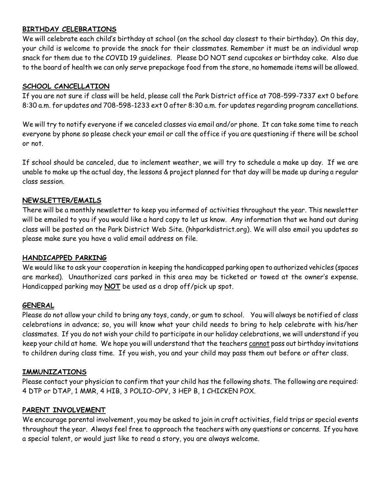### **BIRTHDAY CELEBRATIONS**

We will celebrate each child's birthday at school (on the school day closest to their birthday). On this day, your child is welcome to provide the snack for their classmates. Remember it must be an individual wrap snack for them due to the COVID 19 guidelines. Please DO NOT send cupcakes or birthday cake. Also due to the board of health we can only serve prepackage food from the store, no homemade items will be allowed.

### **SCHOOL CANCELLATION**

If you are not sure if class will be held, please call the Park District office at 708-599-7337 ext 0 before 8:30 a.m. for updates and 708-598-1233 ext 0 after 8:30 a.m. for updates regarding program cancellations.

We will try to notify everyone if we canceled classes via email and/or phone. It can take some time to reach everyone by phone so please check your email or call the office if you are questioning if there will be school or not.

If school should be canceled, due to inclement weather, we will try to schedule a make up day. If we are unable to make up the actual day, the lessons & project planned for that day will be made up during a regular class session.

### **NEWSLETTER/EMAILS**

There will be a monthly newsletter to keep you informed of activities throughout the year. This newsletter will be emailed to you if you would like a hard copy to let us know. Any information that we hand out during class will be posted on the Park District Web Site. (hhparkdistrict.org). We will also email you updates so please make sure you have a valid email address on file.

#### **HANDICAPPED PARKING**

We would like to ask your cooperation in keeping the handicapped parking open to authorized vehicles (spaces are marked). Unauthorized cars parked in this area may be ticketed or towed at the owner's expense. Handicapped parking may **NOT** be used as a drop off/pick up spot.

#### **GENERAL**

Please do not allow your child to bring any toys, candy, or gum to school. You will always be notified of class celebrations in advance; so, you will know what your child needs to bring to help celebrate with his/her classmates. If you do not wish your child to participate in our holiday celebrations, we will understand if you keep your child at home. We hope you will understand that the teachers cannot pass out birthday invitations to children during class time. If you wish, you and your child may pass them out before or after class.

#### **IMMUNIZATIONS**

Please contact your physician to confirm that your child has the following shots. The following are required: 4 DTP or DTAP, 1 MMR, 4 HIB, 3 POLIO-OPV, 3 HEP B, 1 CHICKEN POX.

#### **PARENT INVOLVEMENT**

We encourage parental involvement, you may be asked to join in craft activities, field trips or special events throughout the year. Always feel free to approach the teachers with any questions or concerns. If you have a special talent, or would just like to read a story, you are always welcome.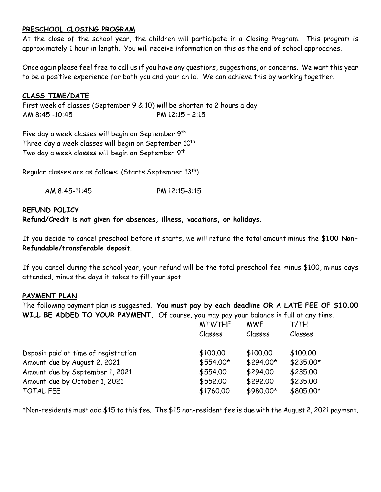### **PRESCHOOL CLOSING PROGRAM**

At the close of the school year, the children will participate in a Closing Program. This program is approximately 1 hour in length. You will receive information on this as the end of school approaches.

Once again please feel free to call us if you have any questions, suggestions, or concerns. We want this year to be a positive experience for both you and your child. We can achieve this by working together.

#### **CLASS TIME/DATE**

First week of classes (September 9 & 10) will be shorten to 2 hours a day. AM 8:45 -10:45 PM 12:15 – 2:15

Five day a week classes will begin on September  $9^{\text{th}}$ Three day a week classes will begin on September  $10^{th}$ Two day a week classes will begin on September  $9^{\text{th}}$ 

Regular classes are as follows: (Starts September  $13^\mathrm{th}$ )

| AM 8:45-11:45 | PM 12:15-3:15 |
|---------------|---------------|
|               |               |

## **REFUND POLICY Refund/Credit is not given for absences, illness, vacations, or holidays.**

If you decide to cancel preschool before it starts, we will refund the total amount minus the **\$100 Non-Refundable/transferable deposit**.

If you cancel during the school year, your refund will be the total preschool fee minus \$100, minus days attended, minus the days it takes to fill your spot.

#### **PAYMENT PLAN**

The following payment plan is suggested. **You must pay by each deadline OR A LATE FEE OF \$10.00 WILL BE ADDED TO YOUR PAYMENT.** Of course, you may pay your balance in full at any time.

|                                      | <b>MTWTHF</b><br>Classes | <b>MWF</b><br>Classes | T/TH<br>Classes |
|--------------------------------------|--------------------------|-----------------------|-----------------|
|                                      |                          |                       |                 |
| Deposit paid at time of registration | \$100.00                 | \$100.00              | \$100.00        |
| Amount due by August 2, 2021         | \$554.00*                | \$294.00*             | $$235.00*$      |
| Amount due by September 1, 2021      | \$554.00                 | \$294.00              | \$235.00        |
| Amount due by October 1, 2021        | \$552.00                 | \$292.00              | \$235.00        |
| <b>TOTAL FEE</b>                     | \$1760.00                | \$980.00*             | \$805.00*       |

\*Non-residents must add \$15 to this fee. The \$15 non-resident fee is due with the August 2, 2021 payment.